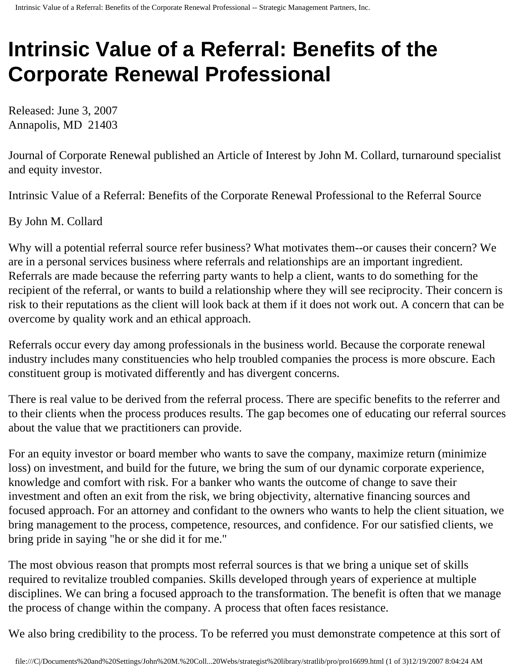## **Intrinsic Value of a Referral: Benefits of the Corporate Renewal Professional**

Released: June 3, 2007 Annapolis, MD 21403

Journal of Corporate Renewal published an Article of Interest by John M. Collard, turnaround specialist and equity investor.

Intrinsic Value of a Referral: Benefits of the Corporate Renewal Professional to the Referral Source

By John M. Collard

Why will a potential referral source refer business? What motivates them--or causes their concern? We are in a personal services business where referrals and relationships are an important ingredient. Referrals are made because the referring party wants to help a client, wants to do something for the recipient of the referral, or wants to build a relationship where they will see reciprocity. Their concern is risk to their reputations as the client will look back at them if it does not work out. A concern that can be overcome by quality work and an ethical approach.

Referrals occur every day among professionals in the business world. Because the corporate renewal industry includes many constituencies who help troubled companies the process is more obscure. Each constituent group is motivated differently and has divergent concerns.

There is real value to be derived from the referral process. There are specific benefits to the referrer and to their clients when the process produces results. The gap becomes one of educating our referral sources about the value that we practitioners can provide.

For an equity investor or board member who wants to save the company, maximize return (minimize loss) on investment, and build for the future, we bring the sum of our dynamic corporate experience, knowledge and comfort with risk. For a banker who wants the outcome of change to save their investment and often an exit from the risk, we bring objectivity, alternative financing sources and focused approach. For an attorney and confidant to the owners who wants to help the client situation, we bring management to the process, competence, resources, and confidence. For our satisfied clients, we bring pride in saying "he or she did it for me."

The most obvious reason that prompts most referral sources is that we bring a unique set of skills required to revitalize troubled companies. Skills developed through years of experience at multiple disciplines. We can bring a focused approach to the transformation. The benefit is often that we manage the process of change within the company. A process that often faces resistance.

We also bring credibility to the process. To be referred you must demonstrate competence at this sort of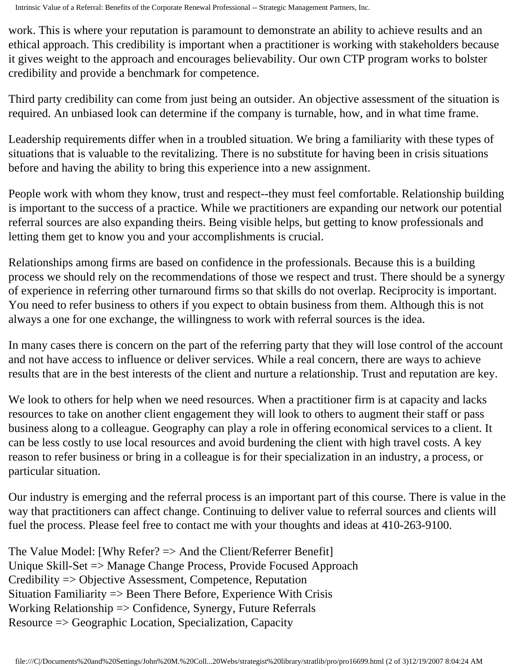Intrinsic Value of a Referral: Benefits of the Corporate Renewal Professional -- Strategic Management Partners, Inc.

work. This is where your reputation is paramount to demonstrate an ability to achieve results and an ethical approach. This credibility is important when a practitioner is working with stakeholders because it gives weight to the approach and encourages believability. Our own CTP program works to bolster credibility and provide a benchmark for competence.

Third party credibility can come from just being an outsider. An objective assessment of the situation is required. An unbiased look can determine if the company is turnable, how, and in what time frame.

Leadership requirements differ when in a troubled situation. We bring a familiarity with these types of situations that is valuable to the revitalizing. There is no substitute for having been in crisis situations before and having the ability to bring this experience into a new assignment.

People work with whom they know, trust and respect--they must feel comfortable. Relationship building is important to the success of a practice. While we practitioners are expanding our network our potential referral sources are also expanding theirs. Being visible helps, but getting to know professionals and letting them get to know you and your accomplishments is crucial.

Relationships among firms are based on confidence in the professionals. Because this is a building process we should rely on the recommendations of those we respect and trust. There should be a synergy of experience in referring other turnaround firms so that skills do not overlap. Reciprocity is important. You need to refer business to others if you expect to obtain business from them. Although this is not always a one for one exchange, the willingness to work with referral sources is the idea.

In many cases there is concern on the part of the referring party that they will lose control of the account and not have access to influence or deliver services. While a real concern, there are ways to achieve results that are in the best interests of the client and nurture a relationship. Trust and reputation are key.

We look to others for help when we need resources. When a practitioner firm is at capacity and lacks resources to take on another client engagement they will look to others to augment their staff or pass business along to a colleague. Geography can play a role in offering economical services to a client. It can be less costly to use local resources and avoid burdening the client with high travel costs. A key reason to refer business or bring in a colleague is for their specialization in an industry, a process, or particular situation.

Our industry is emerging and the referral process is an important part of this course. There is value in the way that practitioners can affect change. Continuing to deliver value to referral sources and clients will fuel the process. Please feel free to contact me with your thoughts and ideas at 410-263-9100.

The Value Model: [Why Refer? => And the Client/Referrer Benefit] Unique Skill-Set => Manage Change Process, Provide Focused Approach Credibility => Objective Assessment, Competence, Reputation Situation Familiarity => Been There Before, Experience With Crisis Working Relationship => Confidence, Synergy, Future Referrals Resource => Geographic Location, Specialization, Capacity